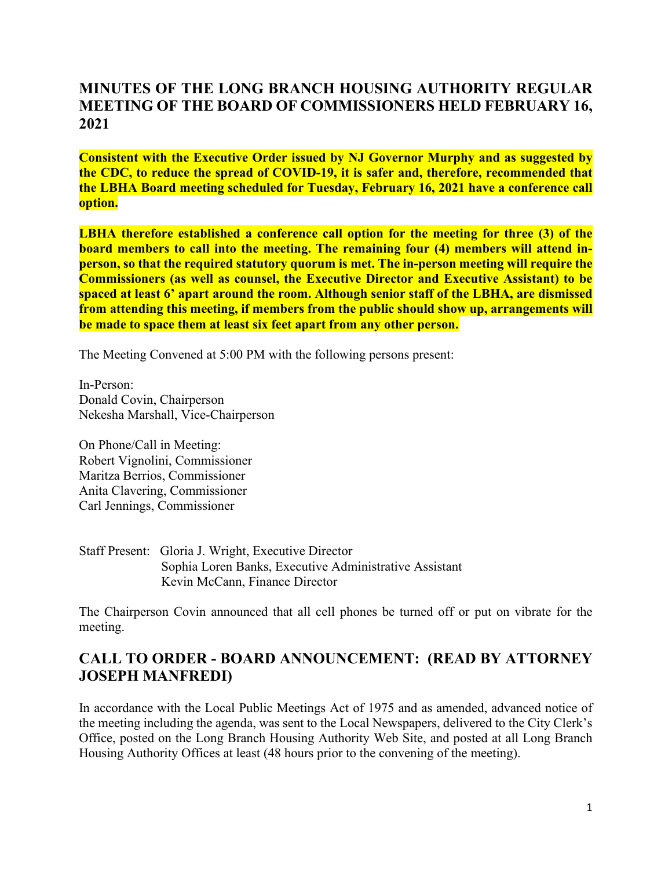## **MINUTES OF THE LONG BRANCH HOUSING AUTHORITY REGULAR MEETING OF THE BOARD OF COMMISSIONERS HELD FEBRUARY 16, 2021**

**Consistent with the Executive Order issued by NJ Governor Murphy and as suggested by the CDC, to reduce the spread of COVID-19, it is safer and, therefore, recommended that the LBHA Board meeting scheduled for Tuesday, February 16, 2021 have a conference call option.**

**LBHA therefore established a conference call option for the meeting for three (3) of the board members to call into the meeting. The remaining four (4) members will attend inperson, so that the required statutory quorum is met. The in-person meeting will require the Commissioners (as well as counsel, the Executive Director and Executive Assistant) to be spaced at least 6' apart around the room. Although senior staff of the LBHA, are dismissed from attending this meeting, if members from the public should show up, arrangements will be made to space them at least six feet apart from any other person.**

The Meeting Convened at 5:00 PM with the following persons present:

In-Person: Donald Covin, Chairperson Nekesha Marshall, Vice-Chairperson

On Phone/Call in Meeting: Robert Vignolini, Commissioner Maritza Berrios, Commissioner Anita Clavering, Commissioner Carl Jennings, Commissioner

Staff Present: Gloria J. Wright, Executive Director Sophia Loren Banks, Executive Administrative Assistant Kevin McCann, Finance Director

The Chairperson Covin announced that all cell phones be turned off or put on vibrate for the meeting.

## **CALL TO ORDER - BOARD ANNOUNCEMENT: (READ BY ATTORNEY JOSEPH MANFREDI)**

In accordance with the Local Public Meetings Act of 1975 and as amended, advanced notice of the meeting including the agenda, was sent to the Local Newspapers, delivered to the City Clerk's Office, posted on the Long Branch Housing Authority Web Site, and posted at all Long Branch Housing Authority Offices at least (48 hours prior to the convening of the meeting).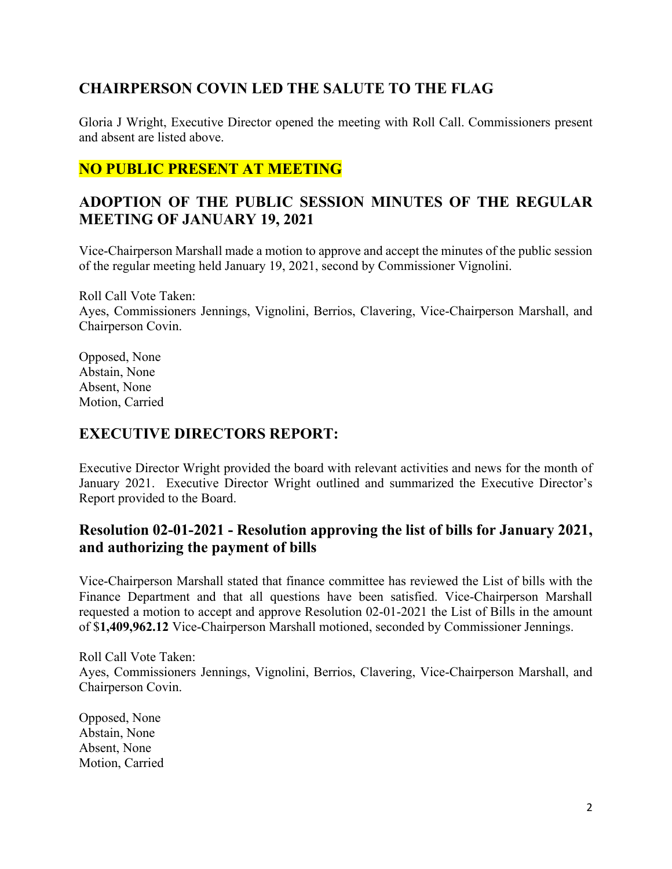# **CHAIRPERSON COVIN LED THE SALUTE TO THE FLAG**

Gloria J Wright, Executive Director opened the meeting with Roll Call. Commissioners present and absent are listed above.

## **NO PUBLIC PRESENT AT MEETING**

# **ADOPTION OF THE PUBLIC SESSION MINUTES OF THE REGULAR MEETING OF JANUARY 19, 2021**

Vice-Chairperson Marshall made a motion to approve and accept the minutes of the public session of the regular meeting held January 19, 2021, second by Commissioner Vignolini.

Roll Call Vote Taken: Ayes, Commissioners Jennings, Vignolini, Berrios, Clavering, Vice-Chairperson Marshall, and Chairperson Covin.

Opposed, None Abstain, None Absent, None Motion, Carried

#### **EXECUTIVE DIRECTORS REPORT:**

Executive Director Wright provided the board with relevant activities and news for the month of January 2021. Executive Director Wright outlined and summarized the Executive Director's Report provided to the Board.

## **Resolution 02-01-2021 - Resolution approving the list of bills for January 2021, and authorizing the payment of bills**

Vice-Chairperson Marshall stated that finance committee has reviewed the List of bills with the Finance Department and that all questions have been satisfied. Vice-Chairperson Marshall requested a motion to accept and approve Resolution 02-01-2021 the List of Bills in the amount of \$**1,409,962.12** Vice-Chairperson Marshall motioned, seconded by Commissioner Jennings.

Roll Call Vote Taken: Ayes, Commissioners Jennings, Vignolini, Berrios, Clavering, Vice-Chairperson Marshall, and Chairperson Covin.

Opposed, None Abstain, None Absent, None Motion, Carried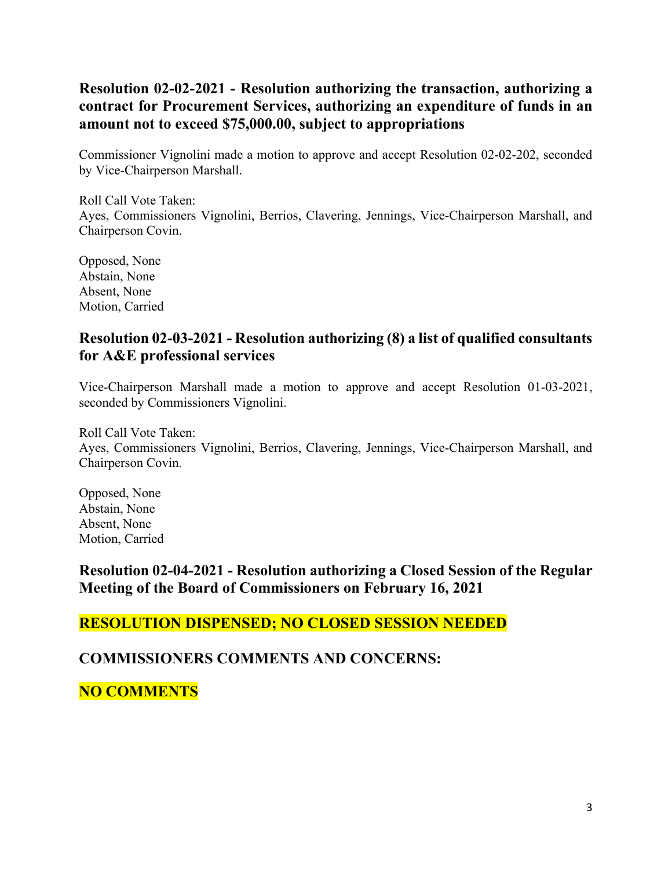## **Resolution 02-02-2021 - Resolution authorizing the transaction, authorizing a contract for Procurement Services, authorizing an expenditure of funds in an amount not to exceed \$75,000.00, subject to appropriations**

Commissioner Vignolini made a motion to approve and accept Resolution 02-02-202, seconded by Vice-Chairperson Marshall.

Roll Call Vote Taken: Ayes, Commissioners Vignolini, Berrios, Clavering, Jennings, Vice-Chairperson Marshall, and Chairperson Covin.

Opposed, None Abstain, None Absent, None Motion, Carried

#### **Resolution 02-03-2021 - Resolution authorizing (8) a list of qualified consultants for A&E professional services**

Vice-Chairperson Marshall made a motion to approve and accept Resolution 01-03-2021, seconded by Commissioners Vignolini.

Roll Call Vote Taken: Ayes, Commissioners Vignolini, Berrios, Clavering, Jennings, Vice-Chairperson Marshall, and Chairperson Covin.

Opposed, None Abstain, None Absent, None Motion, Carried

**Resolution 02-04-2021 - Resolution authorizing a Closed Session of the Regular Meeting of the Board of Commissioners on February 16, 2021**

#### **RESOLUTION DISPENSED; NO CLOSED SESSION NEEDED**

#### **COMMISSIONERS COMMENTS AND CONCERNS:**

# **NO COMMENTS**